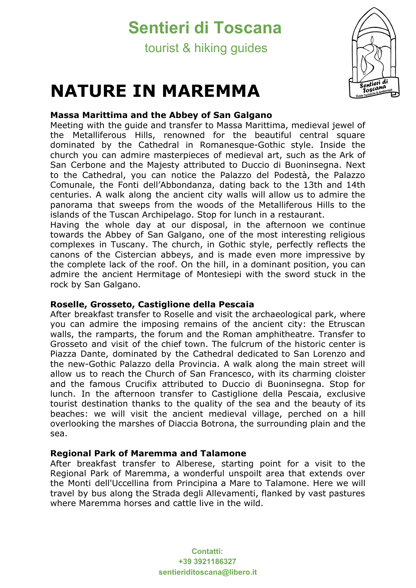## **Sentieri di Toscana**

tourist & hiking guides

# **NATURE IN MAREMMA**



## **Massa Marittima and the Abbey of San Galgano**

Meeting with the guide and transfer to Massa Marittima, medieval jewel of the Metalliferous Hills, renowned for the beautiful central square dominated by the Cathedral in Romanesque-Gothic style. Inside the church you can admire masterpieces of medieval art, such as the Ark of San Cerbone and the Majesty attributed to Duccio di Buoninsegna. Next to the Cathedral, you can notice the Palazzo del Podestà, the Palazzo Comunale, the Fonti dell'Abbondanza, dating back to the 13th and 14th centuries. A walk along the ancient city walls will allow us to admire the panorama that sweeps from the woods of the Metalliferous Hills to the islands of the Tuscan Archipelago. Stop for lunch in a restaurant.

Having the whole day at our disposal, in the afternoon we continue towards the Abbey of San Galgano, one of the most interesting religious complexes in Tuscany. The church, in Gothic style, perfectly reflects the canons of the Cistercian abbeys, and is made even more impressive by the complete lack of the roof. On the hill, in a dominant position, you can admire the ancient Hermitage of Montesiepi with the sword stuck in the rock by San Galgano.

## **Roselle, Grosseto, Castiglione della Pescaia**

After breakfast transfer to Roselle and visit the archaeological park, where you can admire the imposing remains of the ancient city: the Etruscan walls, the ramparts, the forum and the Roman amphitheatre. Transfer to Grosseto and visit of the chief town. The fulcrum of the historic center is Piazza Dante, dominated by the Cathedral dedicated to San Lorenzo and the new-Gothic Palazzo della Provincia. A walk along the main street will allow us to reach the Church of San Francesco, with its charming cloister and the famous Crucifix attributed to Duccio di Buoninsegna. Stop for lunch. In the afternoon transfer to Castiglione della Pescaia, exclusive tourist destination thanks to the quality of the sea and the beauty of its beaches: we will visit the ancient medieval village, perched on a hill overlooking the marshes of Diaccia Botrona, the surrounding plain and the sea.

## **Regional Park of Maremma and Talamone**

After breakfast transfer to Alberese, starting point for a visit to the Regional Park of Maremma, a wonderful unspoilt area that extends over the Monti dell'Uccellina from Principina a Mare to Talamone. Here we will travel by bus along the Strada degli Allevamenti, flanked by vast pastures where Maremma horses and cattle live in the wild.